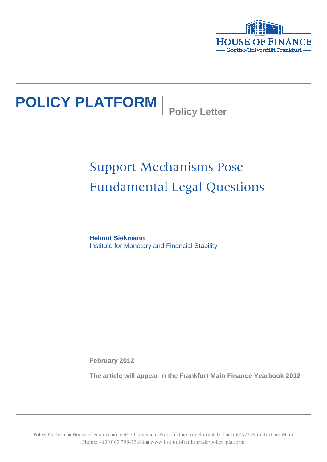

# **POLICY PLATFORM** Policy Letter

## Support Mechanisms Pose Fundamental Legal Questions

**Helmut Siekmann** Institute for Monetary and Financial Stability

**February 2012**

**The article will appear in the Frankfurt Main Finance Yearbook 2012**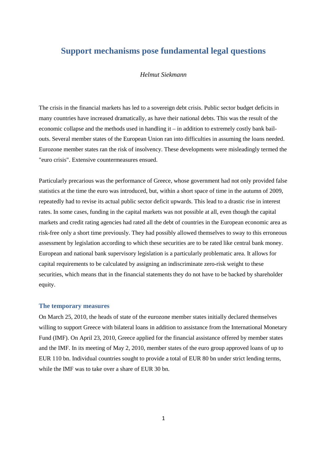### **Support mechanisms pose fundamental legal questions**

#### *Helmut Siekmann*

The crisis in the financial markets has led to a sovereign debt crisis. Public sector budget deficits in many countries have increased dramatically, as have their national debts. This was the result of the economic collapse and the methods used in handling it – in addition to extremely costly bank bailouts. Several member states of the European Union ran into difficulties in assuming the loans needed. Eurozone member states ran the risk of insolvency. These developments were misleadingly termed the "euro crisis". Extensive countermeasures ensued.

Particularly precarious was the performance of Greece, whose government had not only provided false statistics at the time the euro was introduced, but, within a short space of time in the autumn of 2009, repeatedly had to revise its actual public sector deficit upwards. This lead to a drastic rise in interest rates. In some cases, funding in the capital markets was not possible at all, even though the capital markets and credit rating agencies had rated all the debt of countries in the European economic area as risk-free only a short time previously. They had possibly allowed themselves to sway to this erroneous assessment by legislation according to which these securities are to be rated like central bank money. European and national bank supervisory legislation is a particularly problematic area. It allows for capital requirements to be calculated by assigning an indiscriminate zero-risk weight to these securities, which means that in the financial statements they do not have to be backed by shareholder equity.

#### **The temporary measures**

On March 25, 2010, the heads of state of the eurozone member states initially declared themselves willing to support Greece with bilateral loans in addition to assistance from the International Monetary Fund (IMF). On April 23, 2010, Greece applied for the financial assistance offered by member states and the IMF. In its meeting of May 2, 2010, member states of the euro group approved loans of up to EUR 110 bn. Individual countries sought to provide a total of EUR 80 bn under strict lending terms, while the IMF was to take over a share of EUR 30 bn.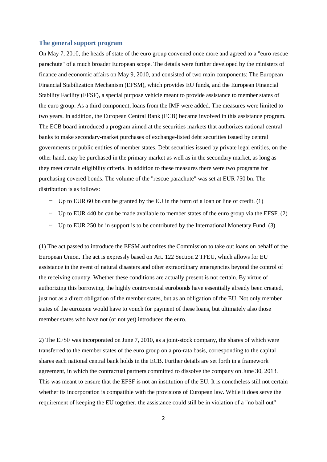#### **The general support program**

On May 7, 2010, the heads of state of the euro group convened once more and agreed to a "euro rescue parachute" of a much broader European scope. The details were further developed by the ministers of finance and economic affairs on May 9, 2010, and consisted of two main components: The European Financial Stabilization Mechanism (EFSM), which provides EU funds, and the European Financial Stability Facility (EFSF), a special purpose vehicle meant to provide assistance to member states of the euro group. As a third component, loans from the IMF were added. The measures were limited to two years. In addition, the European Central Bank (ECB) became involved in this assistance program. The ECB board introduced a program aimed at the securities markets that authorizes national central banks to make secondary-market purchases of exchange-listed debt securities issued by central governments or public entities of member states. Debt securities issued by private legal entities, on the other hand, may be purchased in the primary market as well as in the secondary market, as long as they meet certain eligibility criteria. In addition to these measures there were two programs for purchasing covered bonds. The volume of the "rescue parachute" was set at EUR 750 bn. The distribution is as follows:

- Up to EUR 60 bn can be granted by the EU in the form of a loan or line of credit.  $(1)$
- Up to EUR 440 bn can be made available to member states of the euro group via the EFSF. (2)
- Up to EUR 250 bn in support is to be contributed by the International Monetary Fund. (3)

(1) The act passed to introduce the EFSM authorizes the Commission to take out loans on behalf of the European Union. The act is expressly based on Art. 122 Section 2 TFEU, which allows for EU assistance in the event of natural disasters and other extraordinary emergencies beyond the control of the receiving country. Whether these conditions are actually present is not certain. By virtue of authorizing this borrowing, the highly controversial eurobonds have essentially already been created, just not as a direct obligation of the member states, but as an obligation of the EU. Not only member states of the eurozone would have to vouch for payment of these loans, but ultimately also those member states who have not (or not yet) introduced the euro.

2) The EFSF was incorporated on June 7, 2010, as a joint-stock company, the shares of which were transferred to the member states of the euro group on a pro-rata basis, corresponding to the capital shares each national central bank holds in the ECB. Further details are set forth in a framework agreement, in which the contractual partners committed to dissolve the company on June 30, 2013. This was meant to ensure that the EFSF is not an institution of the EU. It is nonetheless still not certain whether its incorporation is compatible with the provisions of European law. While it does serve the requirement of keeping the EU together, the assistance could still be in violation of a "no bail out"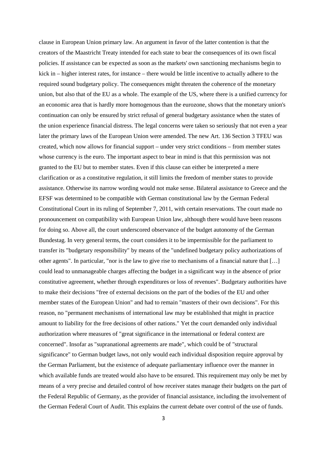clause in European Union primary law. An argument in favor of the latter contention is that the creators of the Maastricht Treaty intended for each state to bear the consequences of its own fiscal policies. If assistance can be expected as soon as the markets' own sanctioning mechanisms begin to kick in – higher interest rates, for instance – there would be little incentive to actually adhere to the required sound budgetary policy. The consequences might threaten the coherence of the monetary union, but also that of the EU as a whole. The example of the US, where there is a unified currency for an economic area that is hardly more homogenous than the eurozone, shows that the monetary union's continuation can only be ensured by strict refusal of general budgetary assistance when the states of the union experience financial distress. The legal concerns were taken so seriously that not even a year later the primary laws of the European Union were amended. The new Art. 136 Section 3 TFEU was created, which now allows for financial support – under very strict conditions – from member states whose currency is the euro. The important aspect to bear in mind is that this permission was not granted to the EU but to member states. Even if this clause can either be interpreted a mere clarification or as a constitutive regulation, it still limits the freedom of member states to provide assistance. Otherwise its narrow wording would not make sense. Bilateral assistance to Greece and the EFSF was determined to be compatible with German constitutional law by the German Federal Constitutional Court in its ruling of September 7, 2011, with certain reservations. The court made no pronouncement on compatibility with European Union law, although there would have been reasons for doing so. Above all, the court underscored observance of the budget autonomy of the German Bundestag. In very general terms, the court considers it to be impermissible for the parliament to transfer its "budgetary responsibility" by means of the "undefined budgetary policy authorizations of other agents". In particular, "nor is the law to give rise to mechanisms of a financial nature that […] could lead to unmanageable charges affecting the budget in a significant way in the absence of prior constitutive agreement, whether through expenditures or loss of revenues". Budgetary authorities have to make their decisions "free of external decisions on the part of the bodies of the EU and other member states of the European Union" and had to remain "masters of their own decisions". For this reason, no "permanent mechanisms of international law may be established that might in practice amount to liability for the free decisions of other nations." Yet the court demanded only individual authorization where measures of "great significance in the international or federal context are concerned". Insofar as "supranational agreements are made", which could be of "structural significance" to German budget laws, not only would each individual disposition require approval by the German Parliament, but the existence of adequate parliamentary influence over the manner in which available funds are treated would also have to be ensured. This requirement may only be met by means of a very precise and detailed control of how receiver states manage their budgets on the part of the Federal Republic of Germany, as the provider of financial assistance, including the involvement of the German Federal Court of Audit. This explains the current debate over control of the use of funds.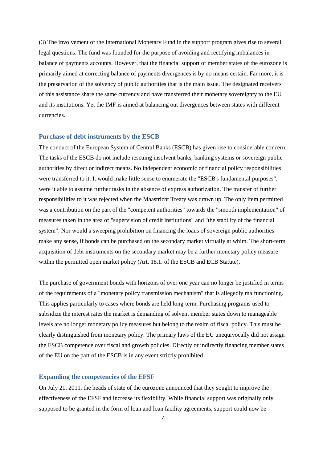(3) The involvement of the International Monetary Fund in the support program gives rise to several legal questions. The fund was founded for the purpose of avoiding and rectifying imbalances in balance of payments accounts. However, that the financial support of member states of the eurozone is primarily aimed at correcting balance of payments divergences is by no means certain. Far more, it is the preservation of the solvency of public authorities that is the main issue. The designated receivers of this assistance share the same currency and have transferred their monetary sovereignty to the EU and its institutions. Yet the IMF is aimed at balancing out divergences between states with different currencies.

#### **Purchase of debt instruments by the ESCB**

The conduct of the European System of Central Banks (ESCB) has given rise to considerable concern. The tasks of the ESCB do not include rescuing insolvent banks, banking systems or sovereign public authorities by direct or indirect means. No independent economic or financial policy responsibilities were transferred to it. It would make little sense to enumerate the "ESCB's fundamental purposes", were it able to assume further tasks in the absence of express authorization. The transfer of further responsibilities to it was rejected when the Maastricht Treaty was drawn up. The only item permitted was a contribution on the part of the "competent authorities" towards the "smooth implementation" of measures taken in the area of "supervision of credit institutions" and "the stability of the financial system". Nor would a sweeping prohibition on financing the loans of sovereign public authorities make any sense, if bonds can be purchased on the secondary market virtually at whim. The short-term acquisition of debt instruments on the secondary market may be a further monetary policy measure within the permitted open market policy (Art. 18.1. of the ESCB and ECB Statute).

The purchase of government bonds with horizons of over one year can no longer be justified in terms of the requirements of a "monetary policy transmission mechanism" that is allegedly malfunctioning. This applies particularly to cases where bonds are held long-term. Purchasing programs used to subsidize the interest rates the market is demanding of solvent member states down to manageable levels are no longer monetary policy measures but belong to the realm of fiscal policy. This must be clearly distinguished from monetary policy. The primary laws of the EU unequivocally did not assign the ESCB competence over fiscal and growth policies. Directly or indirectly financing member states of the EU on the part of the ESCB is in any event strictly prohibited.

#### **Expanding the competencies of the EFSF**

On July 21, 2011, the heads of state of the eurozone announced that they sought to improve the effectiveness of the EFSF and increase its flexibility. While financial support was originally only supposed to be granted in the form of loan and loan facility agreements, support could now be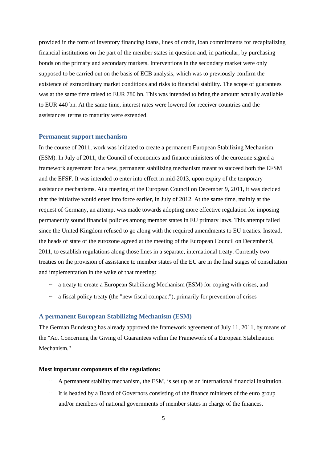provided in the form of inventory financing loans, lines of credit, loan commitments for recapitalizing financial institutions on the part of the member states in question and, in particular, by purchasing bonds on the primary and secondary markets. Interventions in the secondary market were only supposed to be carried out on the basis of ECB analysis, which was to previously confirm the existence of extraordinary market conditions and risks to financial stability. The scope of guarantees was at the same time raised to EUR 780 bn. This was intended to bring the amount actually available to EUR 440 bn. At the same time, interest rates were lowered for receiver countries and the assistances' terms to maturity were extended.

#### **Permanent support mechanism**

In the course of 2011, work was initiated to create a permanent European Stabilizing Mechanism (ESM). In July of 2011, the Council of economics and finance ministers of the eurozone signed a framework agreement for a new, permanent stabilizing mechanism meant to succeed both the EFSM and the EFSF. It was intended to enter into effect in mid-2013, upon expiry of the temporary assistance mechanisms. At a meeting of the European Council on December 9, 2011, it was decided that the initiative would enter into force earlier, in July of 2012. At the same time, mainly at the request of Germany, an attempt was made towards adopting more effective regulation for imposing permanently sound financial policies among member states in EU primary laws. This attempt failed since the United Kingdom refused to go along with the required amendments to EU treaties. Instead, the heads of state of the eurozone agreed at the meeting of the European Council on December 9, 2011, to establish regulations along those lines in a separate, international treaty. Currently two treaties on the provision of assistance to member states of the EU are in the final stages of consultation and implementation in the wake of that meeting:

- a treaty to create a European Stabilizing Mechanism (ESM) for coping with crises, and
- a fiscal policy treaty (the "new fiscal compact"), primarily for prevention of crises

#### **A permanent European Stabilizing Mechanism (ESM)**

The German Bundestag has already approved the framework agreement of July 11, 2011, by means of the "Act Concerning the Giving of Guarantees within the Framework of a European Stabilization Mechanism."

#### **Most important components of the regulations:**

- A permanent stability mechanism, the ESM, is set up as an international financial institution.
- It is headed by a Board of Governors consisting of the finance ministers of the euro group and/or members of national governments of member states in charge of the finances.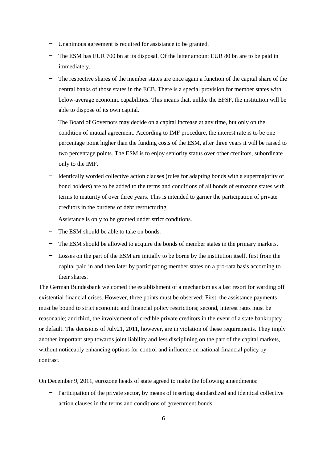- Unanimous agreement is required for assistance to be granted.
- The ESM has EUR 700 bn at its disposal. Of the latter amount EUR 80 bn are to be paid in immediately.
- The respective shares of the member states are once again a function of the capital share of the central banks of those states in the ECB. There is a special provision for member states with below-average economic capabilities. This means that, unlike the EFSF, the institution will be able to dispose of its own capital.
- The Board of Governors may decide on a capital increase at any time, but only on the condition of mutual agreement. According to IMF procedure, the interest rate is to be one percentage point higher than the funding costs of the ESM, after three years it will be raised to two percentage points. The ESM is to enjoy seniority status over other creditors, subordinate only to the IMF.
- Identically worded collective action clauses (rules for adapting bonds with a supermajority of bond holders) are to be added to the terms and conditions of all bonds of eurozone states with terms to maturity of over three years. This is intended to garner the participation of private creditors in the burdens of debt restructuring.
- Assistance is only to be granted under strict conditions.
- The ESM should be able to take on bonds.
- The ESM should be allowed to acquire the bonds of member states in the primary markets.
- Losses on the part of the ESM are initially to be borne by the institution itself, first from the capital paid in and then later by participating member states on a pro-rata basis according to their shares.

The German Bundesbank welcomed the establishment of a mechanism as a last resort for warding off existential financial crises. However, three points must be observed: First, the assistance payments must be bound to strict economic and financial policy restrictions; second, interest rates must be reasonable; and third, the involvement of credible private creditors in the event of a state bankruptcy or default. The decisions of July21, 2011, however, are in violation of these requirements. They imply another important step towards joint liability and less disciplining on the part of the capital markets, without noticeably enhancing options for control and influence on national financial policy by contrast.

On December 9, 2011, eurozone heads of state agreed to make the following amendments:

– Participation of the private sector, by means of inserting standardized and identical collective action clauses in the terms and conditions of government bonds